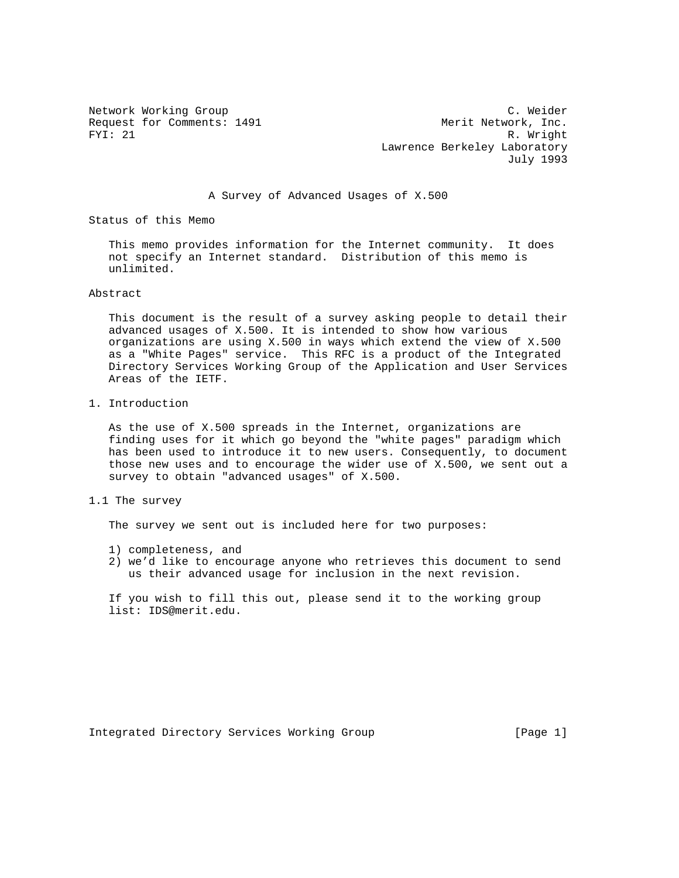Network Working Group C. Weider Request for Comments: 1491 Merit Network, Inc.<br>FYI: 21 R. Wright R. Wright Lawrence Berkeley Laboratory July 1993

# A Survey of Advanced Usages of X.500

Status of this Memo

 This memo provides information for the Internet community. It does not specify an Internet standard. Distribution of this memo is unlimited.

### Abstract

 This document is the result of a survey asking people to detail their advanced usages of X.500. It is intended to show how various organizations are using X.500 in ways which extend the view of X.500 as a "White Pages" service. This RFC is a product of the Integrated Directory Services Working Group of the Application and User Services Areas of the IETF.

1. Introduction

 As the use of X.500 spreads in the Internet, organizations are finding uses for it which go beyond the "white pages" paradigm which has been used to introduce it to new users. Consequently, to document those new uses and to encourage the wider use of X.500, we sent out a survey to obtain "advanced usages" of X.500.

## 1.1 The survey

The survey we sent out is included here for two purposes:

- 1) completeness, and
- 2) we'd like to encourage anyone who retrieves this document to send us their advanced usage for inclusion in the next revision.

 If you wish to fill this out, please send it to the working group list: IDS@merit.edu.

Integrated Directory Services Working Group [Page 1]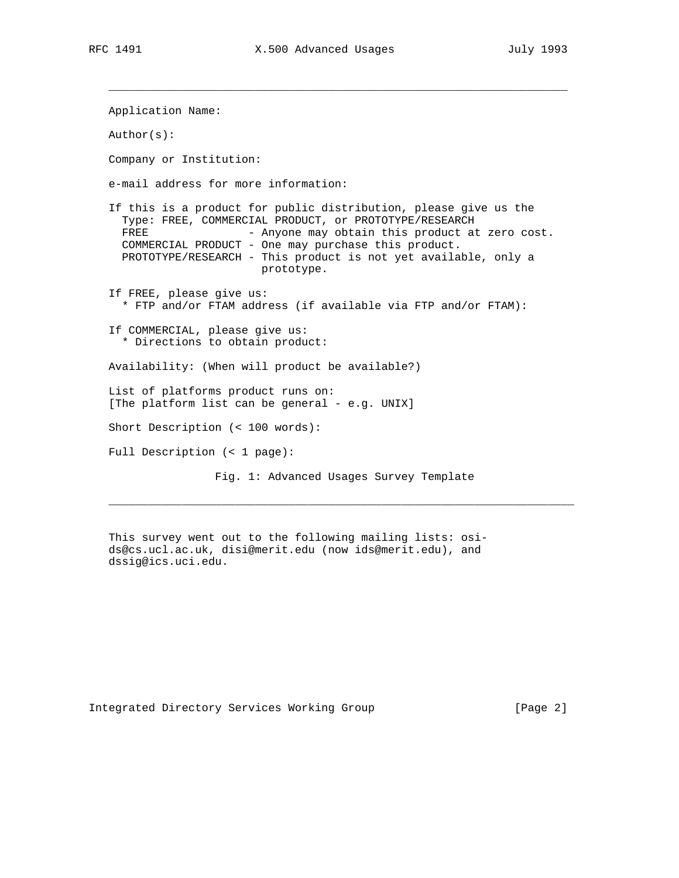$\mathcal{L}_\text{max}$  , and the set of the set of the set of the set of the set of the set of the set of the set of the set of the set of the set of the set of the set of the set of the set of the set of the set of the set of the

 Application Name: Author(s): Company or Institution: e-mail address for more information: If this is a product for public distribution, please give us the Type: FREE, COMMERCIAL PRODUCT, or PROTOTYPE/RESEARCH FREE - Anyone may obtain this product at zero cost. COMMERCIAL PRODUCT - One may purchase this product. PROTOTYPE/RESEARCH - This product is not yet available, only a prototype. If FREE, please give us: \* FTP and/or FTAM address (if available via FTP and/or FTAM): If COMMERCIAL, please give us: \* Directions to obtain product: Availability: (When will product be available?) List of platforms product runs on: [The platform list can be general - e.g. UNIX] Short Description (< 100 words): Full Description (< 1 page): Fig. 1: Advanced Usages Survey Template

 This survey went out to the following mailing lists: osi ds@cs.ucl.ac.uk, disi@merit.edu (now ids@merit.edu), and dssig@ics.uci.edu.

 $\mathcal{L} = \{ \mathcal{L} = \{ \mathcal{L} = \mathcal{L} \}$ 

Integrated Directory Services Working Group [Page 2]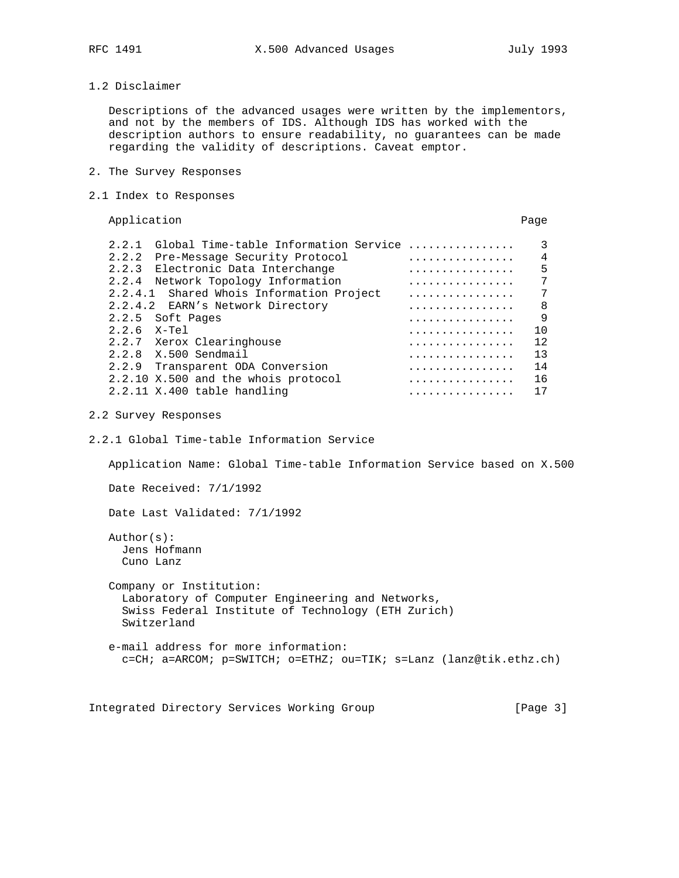1.2 Disclaimer

 Descriptions of the advanced usages were written by the implementors, and not by the members of IDS. Although IDS has worked with the description authors to ensure readability, no guarantees can be made regarding the validity of descriptions. Caveat emptor.

- 2. The Survey Responses
- 2.1 Index to Responses

Application **Page** 

| Global Time-table Information Service<br>2.2.1 | .                        | ζ   |
|------------------------------------------------|--------------------------|-----|
| 2.2.2 Pre-Message Security Protocol            | .                        | 4   |
| 2.2.3<br>Electronic Data Interchange           | .                        | 5   |
| 2.2.4<br>Network Topology Information          | .                        |     |
| 2.2.4.1 Shared Whois Information Project       | .                        | 7   |
| 2.2.4.2 EARN's Network Directory               | .                        | 8   |
| 2.2.5 Soft Pages                               | .                        | 9   |
| 2.2.6<br>X-Tel                                 | .                        | 1 O |
| 2.2.7 Xerox Clearinghouse                      | .                        | 12  |
| 2.2.8 X.500 Sendmail                           | .                        | 13  |
| 2.2.9<br>Transparent ODA Conversion            | and and and and analysis | 14  |
| 2.2.10 X.500 and the whois protocol            |                          | 16  |
| 2.2.11 X.400 table handling                    | .                        | 17  |

# 2.2 Survey Responses

2.2.1 Global Time-table Information Service

Application Name: Global Time-table Information Service based on X.500

Date Received: 7/1/1992

Date Last Validated: 7/1/1992

 Author(s): Jens Hofmann Cuno Lanz

 Company or Institution: Laboratory of Computer Engineering and Networks, Swiss Federal Institute of Technology (ETH Zurich) Switzerland

 e-mail address for more information: c=CH; a=ARCOM; p=SWITCH; o=ETHZ; ou=TIK; s=Lanz (lanz@tik.ethz.ch)

Integrated Directory Services Working Group [Page 3]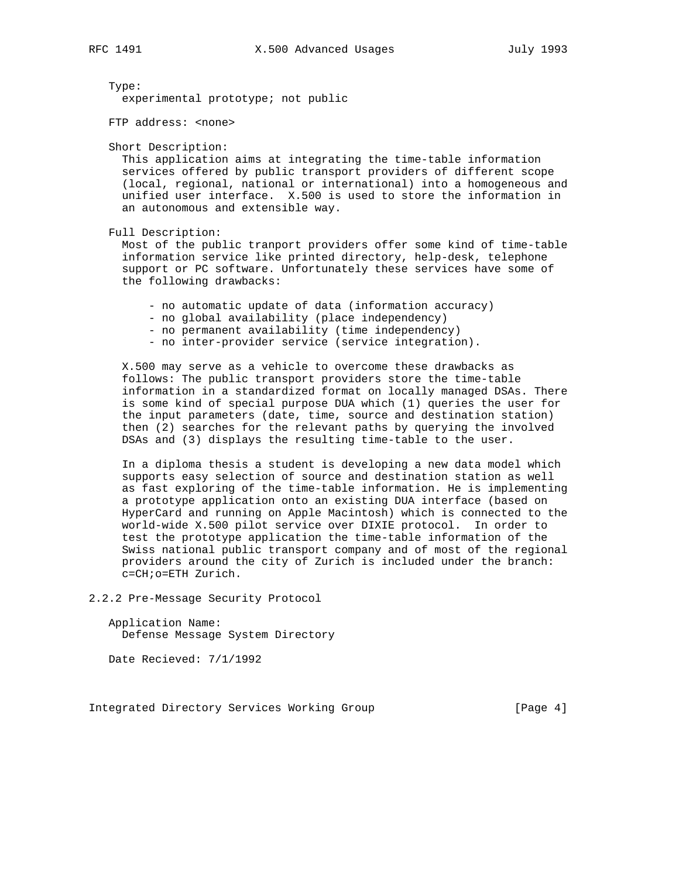Type:

experimental prototype; not public

FTP address: <none>

Short Description:

 This application aims at integrating the time-table information services offered by public transport providers of different scope (local, regional, national or international) into a homogeneous and unified user interface. X.500 is used to store the information in an autonomous and extensible way.

Full Description:

 Most of the public tranport providers offer some kind of time-table information service like printed directory, help-desk, telephone support or PC software. Unfortunately these services have some of the following drawbacks:

- no automatic update of data (information accuracy)

- no global availability (place independency)
- no permanent availability (time independency)
- no inter-provider service (service integration).

 X.500 may serve as a vehicle to overcome these drawbacks as follows: The public transport providers store the time-table information in a standardized format on locally managed DSAs. There is some kind of special purpose DUA which (1) queries the user for the input parameters (date, time, source and destination station) then (2) searches for the relevant paths by querying the involved DSAs and (3) displays the resulting time-table to the user.

 In a diploma thesis a student is developing a new data model which supports easy selection of source and destination station as well as fast exploring of the time-table information. He is implementing a prototype application onto an existing DUA interface (based on HyperCard and running on Apple Macintosh) which is connected to the world-wide X.500 pilot service over DIXIE protocol. In order to test the prototype application the time-table information of the Swiss national public transport company and of most of the regional providers around the city of Zurich is included under the branch: c=CH;o=ETH Zurich.

2.2.2 Pre-Message Security Protocol

 Application Name: Defense Message System Directory

Date Recieved: 7/1/1992

Integrated Directory Services Working Group [Page 4]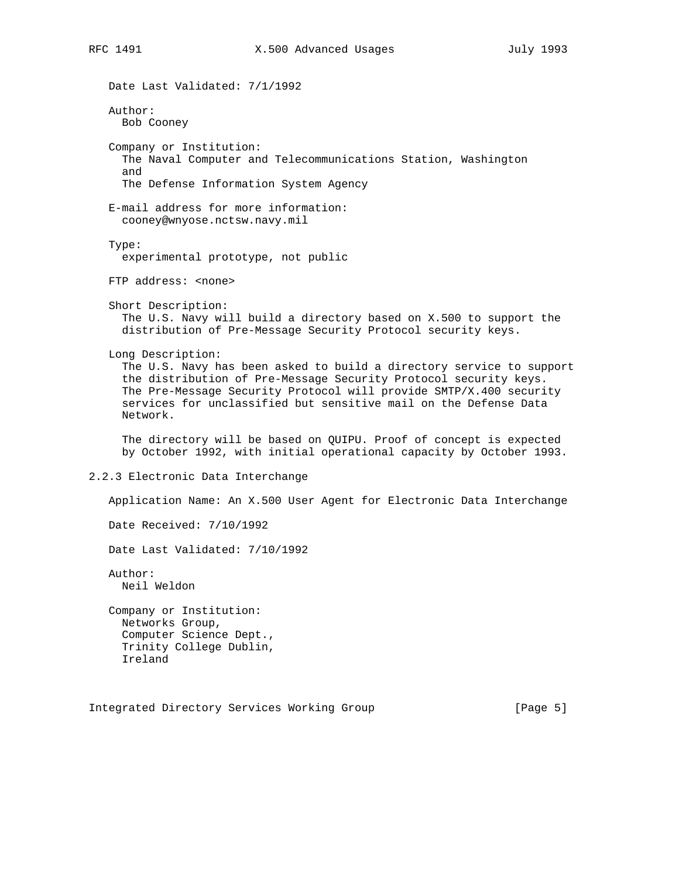```
 Date Last Validated: 7/1/1992
   Author:
     Bob Cooney
   Company or Institution:
     The Naval Computer and Telecommunications Station, Washington
     and
     The Defense Information System Agency
   E-mail address for more information:
     cooney@wnyose.nctsw.navy.mil
   Type:
     experimental prototype, not public
   FTP address: <none>
    Short Description:
     The U.S. Navy will build a directory based on X.500 to support the
     distribution of Pre-Message Security Protocol security keys.
   Long Description:
     The U.S. Navy has been asked to build a directory service to support
      the distribution of Pre-Message Security Protocol security keys.
     The Pre-Message Security Protocol will provide SMTP/X.400 security
      services for unclassified but sensitive mail on the Defense Data
     Network.
     The directory will be based on QUIPU. Proof of concept is expected
     by October 1992, with initial operational capacity by October 1993.
2.2.3 Electronic Data Interchange
   Application Name: An X.500 User Agent for Electronic Data Interchange
   Date Received: 7/10/1992
   Date Last Validated: 7/10/1992
   Author:
     Neil Weldon
   Company or Institution:
     Networks Group,
     Computer Science Dept.,
     Trinity College Dublin,
     Ireland
Integrated Directory Services Working Group [Page 5]
```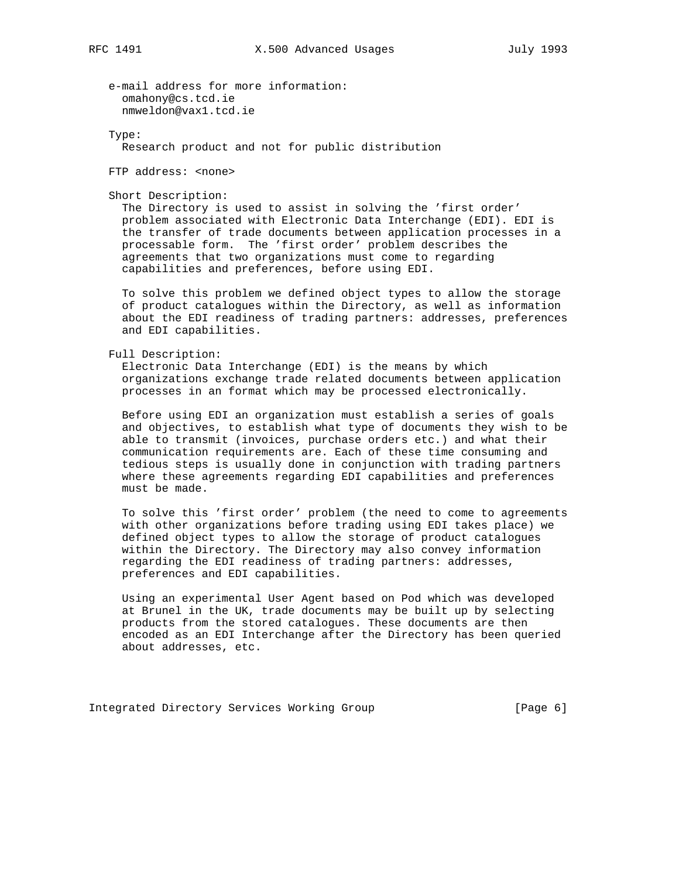e-mail address for more information: omahony@cs.tcd.ie nmweldon@vax1.tcd.ie

Type:

Research product and not for public distribution

FTP address: <none>

Short Description:

 The Directory is used to assist in solving the 'first order' problem associated with Electronic Data Interchange (EDI). EDI is the transfer of trade documents between application processes in a processable form. The 'first order' problem describes the agreements that two organizations must come to regarding capabilities and preferences, before using EDI.

 To solve this problem we defined object types to allow the storage of product catalogues within the Directory, as well as information about the EDI readiness of trading partners: addresses, preferences and EDI capabilities.

Full Description:

 Electronic Data Interchange (EDI) is the means by which organizations exchange trade related documents between application processes in an format which may be processed electronically.

 Before using EDI an organization must establish a series of goals and objectives, to establish what type of documents they wish to be able to transmit (invoices, purchase orders etc.) and what their communication requirements are. Each of these time consuming and tedious steps is usually done in conjunction with trading partners where these agreements regarding EDI capabilities and preferences must be made.

 To solve this 'first order' problem (the need to come to agreements with other organizations before trading using EDI takes place) we defined object types to allow the storage of product catalogues within the Directory. The Directory may also convey information regarding the EDI readiness of trading partners: addresses, preferences and EDI capabilities.

 Using an experimental User Agent based on Pod which was developed at Brunel in the UK, trade documents may be built up by selecting products from the stored catalogues. These documents are then encoded as an EDI Interchange after the Directory has been queried about addresses, etc.

Integrated Directory Services Working Group [Page 6]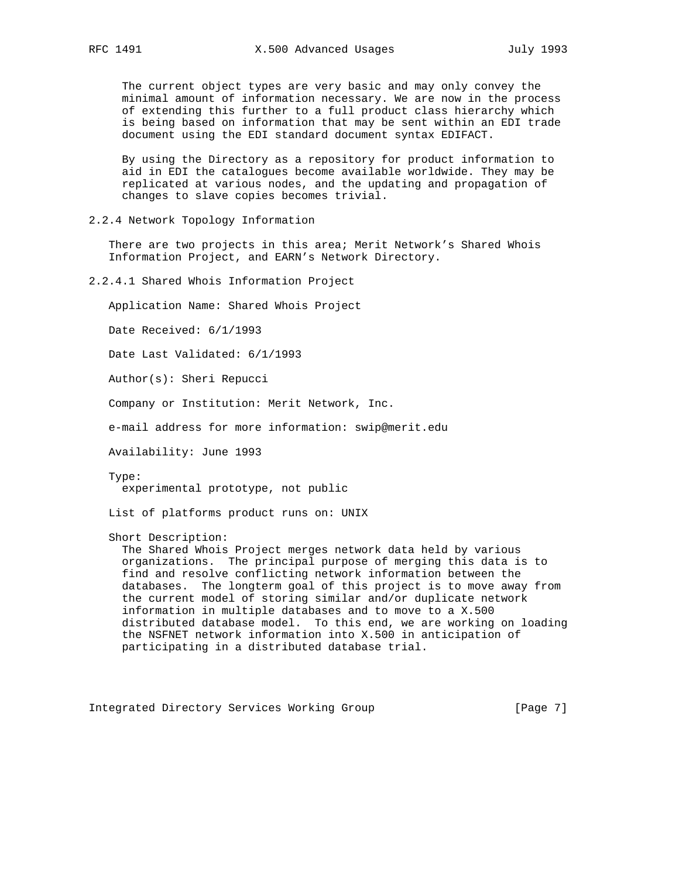The current object types are very basic and may only convey the minimal amount of information necessary. We are now in the process of extending this further to a full product class hierarchy which is being based on information that may be sent within an EDI trade document using the EDI standard document syntax EDIFACT.

 By using the Directory as a repository for product information to aid in EDI the catalogues become available worldwide. They may be replicated at various nodes, and the updating and propagation of changes to slave copies becomes trivial.

2.2.4 Network Topology Information

 There are two projects in this area; Merit Network's Shared Whois Information Project, and EARN's Network Directory.

2.2.4.1 Shared Whois Information Project

Application Name: Shared Whois Project

Date Received: 6/1/1993

Date Last Validated: 6/1/1993

Author(s): Sheri Repucci

Company or Institution: Merit Network, Inc.

e-mail address for more information: swip@merit.edu

Availability: June 1993

 Type: experimental prototype, not public

List of platforms product runs on: UNIX

Short Description:

 The Shared Whois Project merges network data held by various organizations. The principal purpose of merging this data is to find and resolve conflicting network information between the databases. The longterm goal of this project is to move away from the current model of storing similar and/or duplicate network information in multiple databases and to move to a X.500 distributed database model. To this end, we are working on loading the NSFNET network information into X.500 in anticipation of participating in a distributed database trial.

Integrated Directory Services Working Group [Page 7]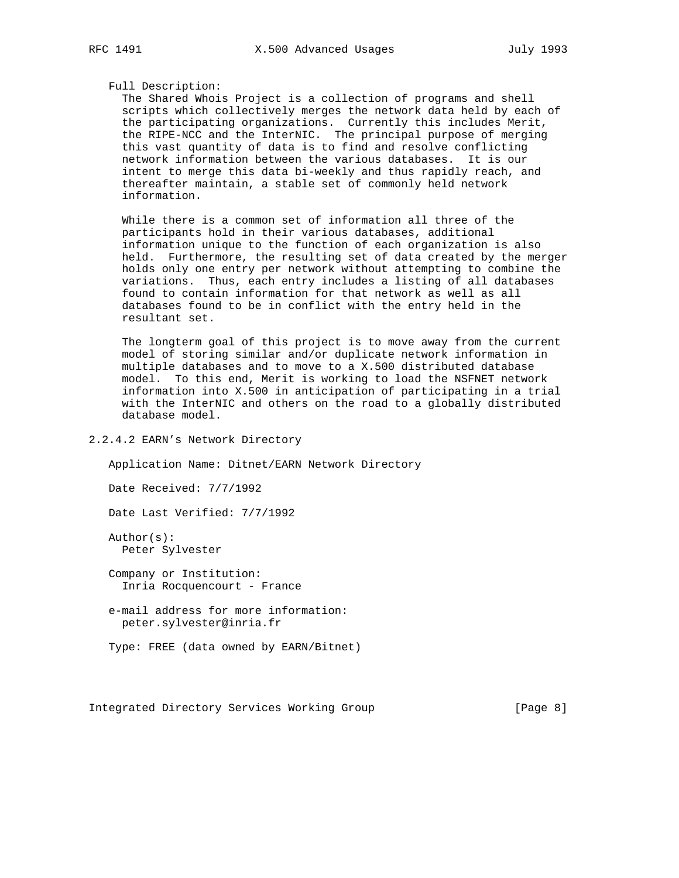## Full Description:

 The Shared Whois Project is a collection of programs and shell scripts which collectively merges the network data held by each of the participating organizations. Currently this includes Merit, the RIPE-NCC and the InterNIC. The principal purpose of merging this vast quantity of data is to find and resolve conflicting network information between the various databases. It is our intent to merge this data bi-weekly and thus rapidly reach, and thereafter maintain, a stable set of commonly held network information.

 While there is a common set of information all three of the participants hold in their various databases, additional information unique to the function of each organization is also held. Furthermore, the resulting set of data created by the merger holds only one entry per network without attempting to combine the variations. Thus, each entry includes a listing of all databases found to contain information for that network as well as all databases found to be in conflict with the entry held in the resultant set.

 The longterm goal of this project is to move away from the current model of storing similar and/or duplicate network information in multiple databases and to move to a X.500 distributed database model. To this end, Merit is working to load the NSFNET network information into X.500 in anticipation of participating in a trial with the InterNIC and others on the road to a globally distributed database model.

# 2.2.4.2 EARN's Network Directory

Application Name: Ditnet/EARN Network Directory

Date Received: 7/7/1992

Date Last Verified: 7/7/1992

 Author(s): Peter Sylvester

 Company or Institution: Inria Rocquencourt - France

 e-mail address for more information: peter.sylvester@inria.fr

Type: FREE (data owned by EARN/Bitnet)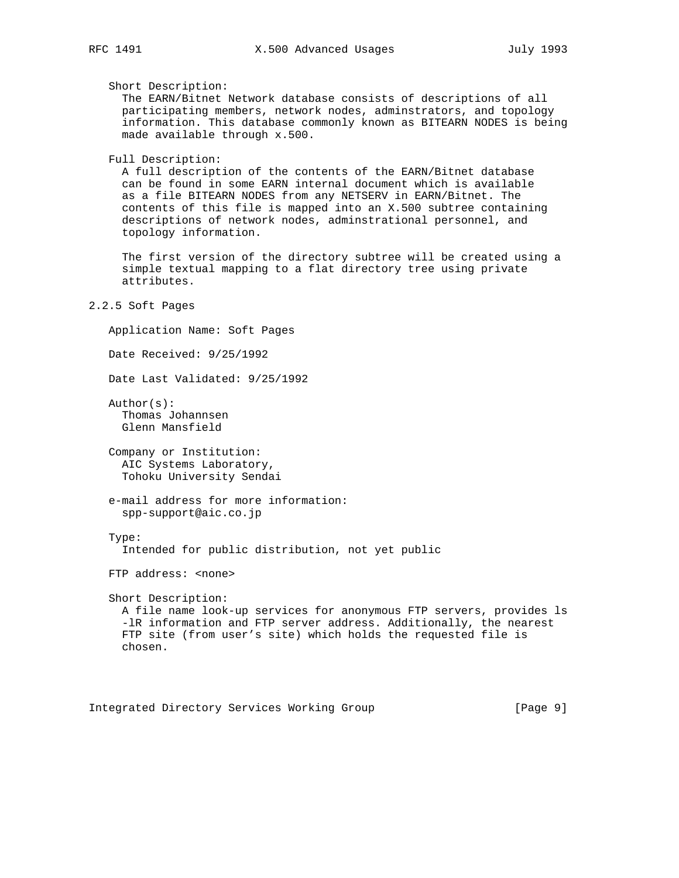Short Description:

 The EARN/Bitnet Network database consists of descriptions of all participating members, network nodes, adminstrators, and topology information. This database commonly known as BITEARN NODES is being made available through x.500.

Full Description:

 A full description of the contents of the EARN/Bitnet database can be found in some EARN internal document which is available as a file BITEARN NODES from any NETSERV in EARN/Bitnet. The contents of this file is mapped into an X.500 subtree containing descriptions of network nodes, adminstrational personnel, and topology information.

 The first version of the directory subtree will be created using a simple textual mapping to a flat directory tree using private attributes.

```
2.2.5 Soft Pages
```
Application Name: Soft Pages

Date Received: 9/25/1992

Date Last Validated: 9/25/1992

 Author(s): Thomas Johannsen Glenn Mansfield

 Company or Institution: AIC Systems Laboratory, Tohoku University Sendai

 e-mail address for more information: spp-support@aic.co.jp

Type:

Intended for public distribution, not yet public

FTP address: <none>

 Short Description: A file name look-up services for anonymous FTP servers, provides ls -lR information and FTP server address. Additionally, the nearest FTP site (from user's site) which holds the requested file is chosen.

Integrated Directory Services Working Group [Page 9]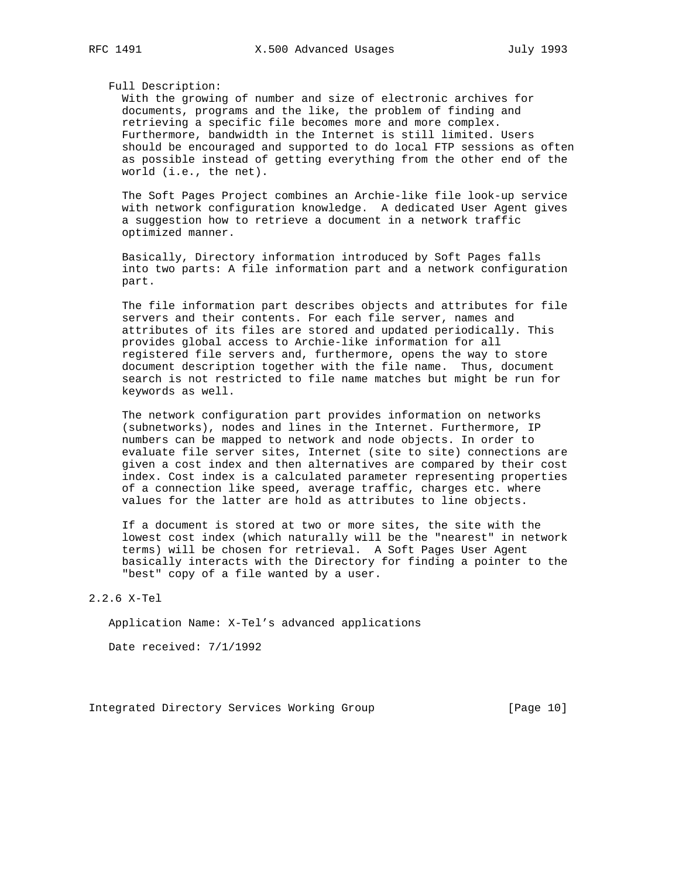Full Description:

 With the growing of number and size of electronic archives for documents, programs and the like, the problem of finding and retrieving a specific file becomes more and more complex. Furthermore, bandwidth in the Internet is still limited. Users should be encouraged and supported to do local FTP sessions as often as possible instead of getting everything from the other end of the world (i.e., the net).

 The Soft Pages Project combines an Archie-like file look-up service with network configuration knowledge. A dedicated User Agent gives a suggestion how to retrieve a document in a network traffic optimized manner.

 Basically, Directory information introduced by Soft Pages falls into two parts: A file information part and a network configuration part.

 The file information part describes objects and attributes for file servers and their contents. For each file server, names and attributes of its files are stored and updated periodically. This provides global access to Archie-like information for all registered file servers and, furthermore, opens the way to store document description together with the file name. Thus, document search is not restricted to file name matches but might be run for keywords as well.

 The network configuration part provides information on networks (subnetworks), nodes and lines in the Internet. Furthermore, IP numbers can be mapped to network and node objects. In order to evaluate file server sites, Internet (site to site) connections are given a cost index and then alternatives are compared by their cost index. Cost index is a calculated parameter representing properties of a connection like speed, average traffic, charges etc. where values for the latter are hold as attributes to line objects.

 If a document is stored at two or more sites, the site with the lowest cost index (which naturally will be the "nearest" in network terms) will be chosen for retrieval. A Soft Pages User Agent basically interacts with the Directory for finding a pointer to the "best" copy of a file wanted by a user.

## 2.2.6 X-Tel

Application Name: X-Tel's advanced applications

Date received: 7/1/1992

Integrated Directory Services Working Group [Page 10]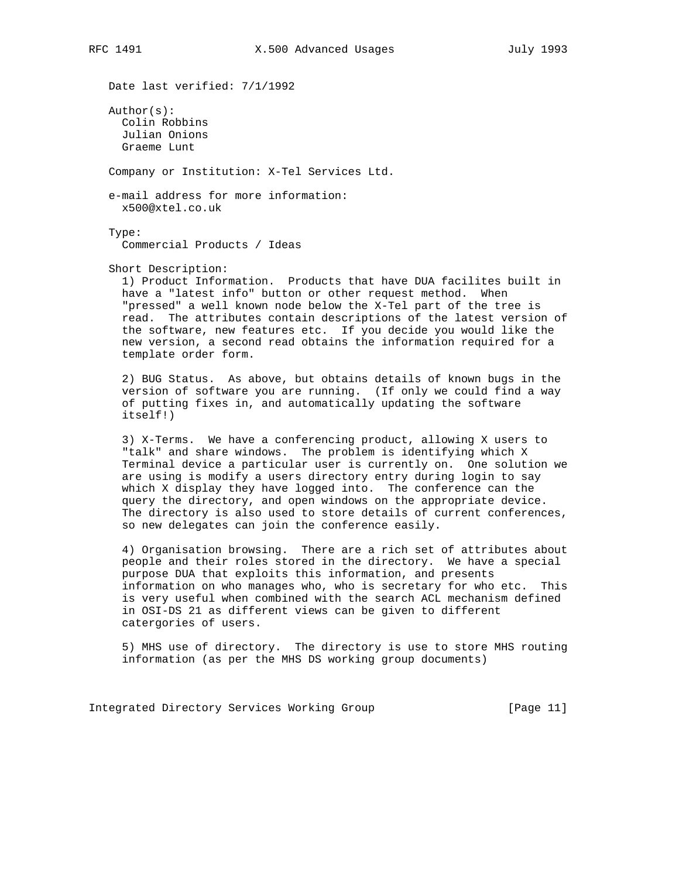Date last verified: 7/1/1992

 Author(s): Colin Robbins Julian Onions Graeme Lunt

Company or Institution: X-Tel Services Ltd.

 e-mail address for more information: x500@xtel.co.uk

Type:

Commercial Products / Ideas

Short Description:

 1) Product Information. Products that have DUA facilites built in have a "latest info" button or other request method. When "pressed" a well known node below the X-Tel part of the tree is read. The attributes contain descriptions of the latest version of the software, new features etc. If you decide you would like the new version, a second read obtains the information required for a template order form.

 2) BUG Status. As above, but obtains details of known bugs in the version of software you are running. (If only we could find a way of putting fixes in, and automatically updating the software itself!)

 3) X-Terms. We have a conferencing product, allowing X users to "talk" and share windows. The problem is identifying which X Terminal device a particular user is currently on. One solution we are using is modify a users directory entry during login to say which X display they have logged into. The conference can the query the directory, and open windows on the appropriate device. The directory is also used to store details of current conferences, so new delegates can join the conference easily.

 4) Organisation browsing. There are a rich set of attributes about people and their roles stored in the directory. We have a special purpose DUA that exploits this information, and presents information on who manages who, who is secretary for who etc. This is very useful when combined with the search ACL mechanism defined in OSI-DS 21 as different views can be given to different catergories of users.

 5) MHS use of directory. The directory is use to store MHS routing information (as per the MHS DS working group documents)

Integrated Directory Services Working Group [Page 11]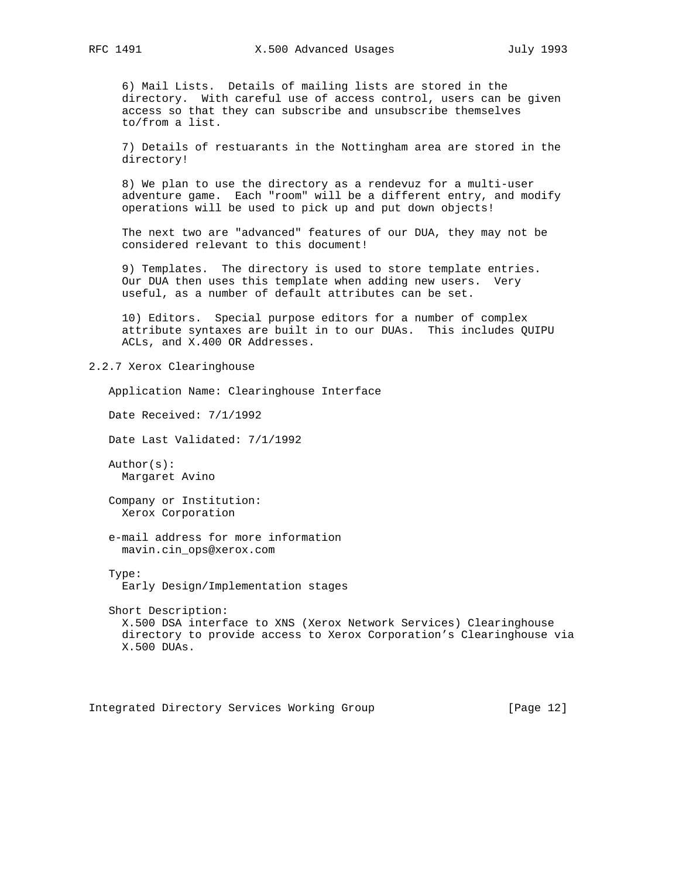6) Mail Lists. Details of mailing lists are stored in the directory. With careful use of access control, users can be given access so that they can subscribe and unsubscribe themselves to/from a list.

 7) Details of restuarants in the Nottingham area are stored in the directory!

 8) We plan to use the directory as a rendevuz for a multi-user adventure game. Each "room" will be a different entry, and modify operations will be used to pick up and put down objects!

 The next two are "advanced" features of our DUA, they may not be considered relevant to this document!

 9) Templates. The directory is used to store template entries. Our DUA then uses this template when adding new users. Very useful, as a number of default attributes can be set.

 10) Editors. Special purpose editors for a number of complex attribute syntaxes are built in to our DUAs. This includes QUIPU ACLs, and X.400 OR Addresses.

2.2.7 Xerox Clearinghouse

 Application Name: Clearinghouse Interface Date Received: 7/1/1992

Date Last Validated: 7/1/1992

 Author(s): Margaret Avino

 Company or Institution: Xerox Corporation

 e-mail address for more information mavin.cin\_ops@xerox.com

 Type: Early Design/Implementation stages

 Short Description: X.500 DSA interface to XNS (Xerox Network Services) Clearinghouse directory to provide access to Xerox Corporation's Clearinghouse via X.500 DUAs.

Integrated Directory Services Working Group [Page 12]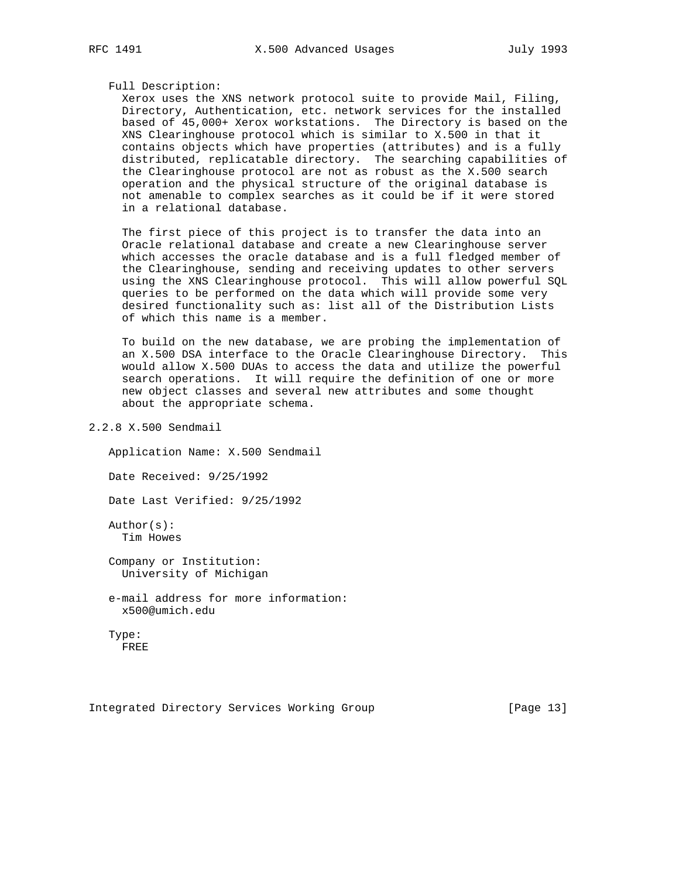## Full Description:

 Xerox uses the XNS network protocol suite to provide Mail, Filing, Directory, Authentication, etc. network services for the installed based of 45,000+ Xerox workstations. The Directory is based on the XNS Clearinghouse protocol which is similar to X.500 in that it contains objects which have properties (attributes) and is a fully distributed, replicatable directory. The searching capabilities of the Clearinghouse protocol are not as robust as the X.500 search operation and the physical structure of the original database is not amenable to complex searches as it could be if it were stored in a relational database.

 The first piece of this project is to transfer the data into an Oracle relational database and create a new Clearinghouse server which accesses the oracle database and is a full fledged member of the Clearinghouse, sending and receiving updates to other servers using the XNS Clearinghouse protocol. This will allow powerful SQL queries to be performed on the data which will provide some very desired functionality such as: list all of the Distribution Lists of which this name is a member.

 To build on the new database, we are probing the implementation of an X.500 DSA interface to the Oracle Clearinghouse Directory. This would allow X.500 DUAs to access the data and utilize the powerful search operations. It will require the definition of one or more new object classes and several new attributes and some thought about the appropriate schema.

2.2.8 X.500 Sendmail

 Application Name: X.500 Sendmail Date Received: 9/25/1992 Date Last Verified: 9/25/1992 Author(s): Tim Howes Company or Institution: University of Michigan e-mail address for more information: x500@umich.edu Type: FREE

Integrated Directory Services Working Group [Page 13]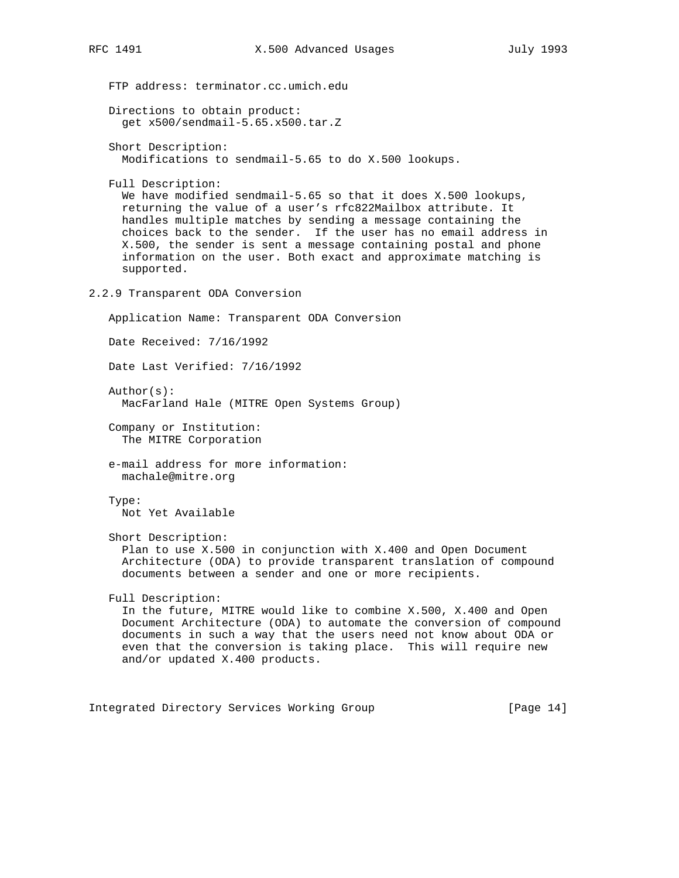```
 FTP address: terminator.cc.umich.edu
   Directions to obtain product:
      get x500/sendmail-5.65.x500.tar.Z
   Short Description:
     Modifications to sendmail-5.65 to do X.500 lookups.
   Full Description:
     We have modified sendmail-5.65 so that it does X.500 lookups,
      returning the value of a user's rfc822Mailbox attribute. It
     handles multiple matches by sending a message containing the
      choices back to the sender. If the user has no email address in
      X.500, the sender is sent a message containing postal and phone
      information on the user. Both exact and approximate matching is
      supported.
2.2.9 Transparent ODA Conversion
   Application Name: Transparent ODA Conversion
   Date Received: 7/16/1992
   Date Last Verified: 7/16/1992
   Author(s):
     MacFarland Hale (MITRE Open Systems Group)
   Company or Institution:
      The MITRE Corporation
    e-mail address for more information:
     machale@mitre.org
   Type:
     Not Yet Available
    Short Description:
      Plan to use X.500 in conjunction with X.400 and Open Document
      Architecture (ODA) to provide transparent translation of compound
      documents between a sender and one or more recipients.
   Full Description:
      In the future, MITRE would like to combine X.500, X.400 and Open
      Document Architecture (ODA) to automate the conversion of compound
     documents in such a way that the users need not know about ODA or
     even that the conversion is taking place. This will require new
      and/or updated X.400 products.
```
Integrated Directory Services Working Group [Page 14]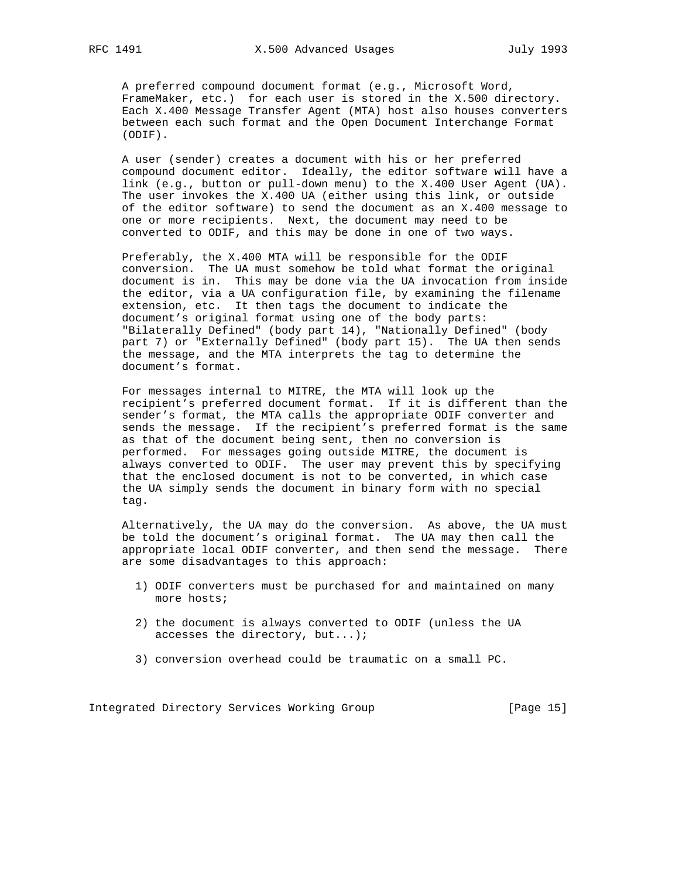A preferred compound document format (e.g., Microsoft Word, FrameMaker, etc.) for each user is stored in the X.500 directory. Each X.400 Message Transfer Agent (MTA) host also houses converters between each such format and the Open Document Interchange Format (ODIF).

 A user (sender) creates a document with his or her preferred compound document editor. Ideally, the editor software will have a link (e.g., button or pull-down menu) to the X.400 User Agent (UA). The user invokes the X.400 UA (either using this link, or outside of the editor software) to send the document as an X.400 message to one or more recipients. Next, the document may need to be converted to ODIF, and this may be done in one of two ways.

 Preferably, the X.400 MTA will be responsible for the ODIF conversion. The UA must somehow be told what format the original document is in. This may be done via the UA invocation from inside the editor, via a UA configuration file, by examining the filename extension, etc. It then tags the document to indicate the document's original format using one of the body parts: "Bilaterally Defined" (body part 14), "Nationally Defined" (body part 7) or "Externally Defined" (body part 15). The UA then sends the message, and the MTA interprets the tag to determine the document's format.

 For messages internal to MITRE, the MTA will look up the recipient's preferred document format. If it is different than the sender's format, the MTA calls the appropriate ODIF converter and sends the message. If the recipient's preferred format is the same as that of the document being sent, then no conversion is performed. For messages going outside MITRE, the document is always converted to ODIF. The user may prevent this by specifying that the enclosed document is not to be converted, in which case the UA simply sends the document in binary form with no special tag.

 Alternatively, the UA may do the conversion. As above, the UA must be told the document's original format. The UA may then call the appropriate local ODIF converter, and then send the message. There are some disadvantages to this approach:

- 1) ODIF converters must be purchased for and maintained on many more hosts;
- 2) the document is always converted to ODIF (unless the UA accesses the directory, but...);
- 3) conversion overhead could be traumatic on a small PC.

Integrated Directory Services Working Group [Page 15]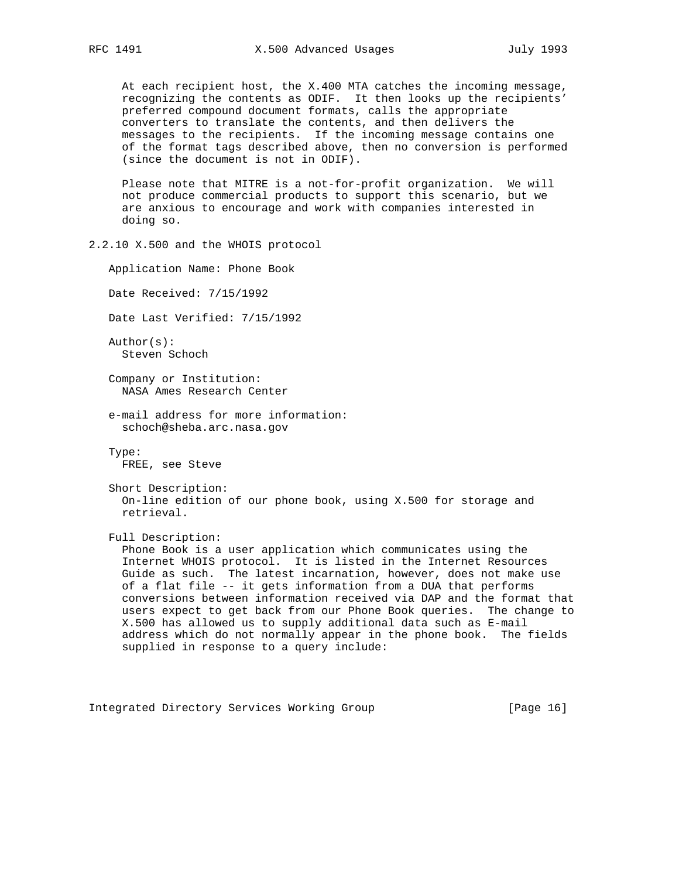At each recipient host, the X.400 MTA catches the incoming message, recognizing the contents as ODIF. It then looks up the recipients' preferred compound document formats, calls the appropriate converters to translate the contents, and then delivers the messages to the recipients. If the incoming message contains one of the format tags described above, then no conversion is performed (since the document is not in ODIF).

 Please note that MITRE is a not-for-profit organization. We will not produce commercial products to support this scenario, but we are anxious to encourage and work with companies interested in doing so.

2.2.10 X.500 and the WHOIS protocol

 Application Name: Phone Book Date Received: 7/15/1992 Date Last Verified: 7/15/1992 Author(s): Steven Schoch Company or Institution: NASA Ames Research Center e-mail address for more information: schoch@sheba.arc.nasa.gov Type: FREE, see Steve Short Description: On-line edition of our phone book, using X.500 for storage and retrieval. Full Description: Phone Book is a user application which communicates using the Internet WHOIS protocol. It is listed in the Internet Resources Guide as such. The latest incarnation, however, does not make use of a flat file -- it gets information from a DUA that performs conversions between information received via DAP and the format that users expect to get back from our Phone Book queries. The change to X.500 has allowed us to supply additional data such as E-mail address which do not normally appear in the phone book. The fields supplied in response to a query include:

Integrated Directory Services Working Group [Page 16]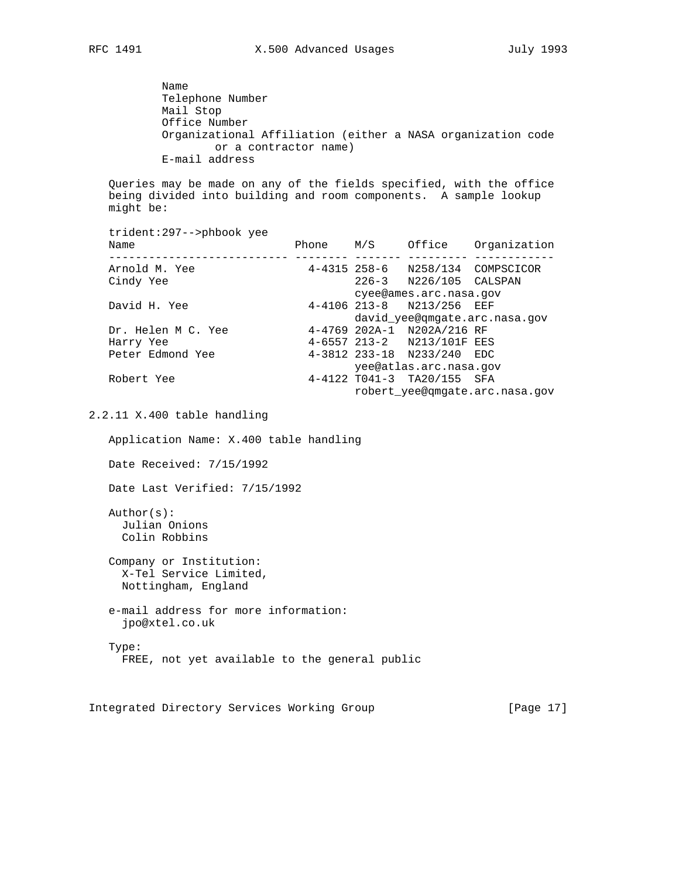Name Telephone Number Mail Stop Office Number Organizational Affiliation (either a NASA organization code or a contractor name) E-mail address

 Queries may be made on any of the fields specified, with the office being divided into building and room components. A sample lookup might be:

 trident:297-->phbook yee Name **Phone** M/S Office Organization --------------------------- -------- ------- --------- ------------ 4-4315 258-6 N258/134 COMPSCICOR Cindy Yee 226-3 N226/105 CALSPAN cyee@ames.arc.nasa.gov<br>d H. Yee 4-4106 213-8 N213/256 EEF 4-4106 213-8 N213/256 EEF david\_yee@qmgate.arc.nasa.gov Dr. Helen M C. Yee 4-4769 202A-1 N202A/216 RF Harry Yee 4-6557 213-2 N213/101F EES Peter Edmond Yee 4-3812 233-18 N233/240 EDC yee@atlas.arc.nasa.gov Robert Yee 4-4122 T041-3 TA20/155 SFA robert\_yee@qmgate.arc.nasa.gov

2.2.11 X.400 table handling

Application Name: X.400 table handling

Date Received: 7/15/1992

Date Last Verified: 7/15/1992

 Author(s): Julian Onions Colin Robbins

 Company or Institution: X-Tel Service Limited, Nottingham, England

 e-mail address for more information: jpo@xtel.co.uk

 Type: FREE, not yet available to the general public

Integrated Directory Services Working Group [Page 17]